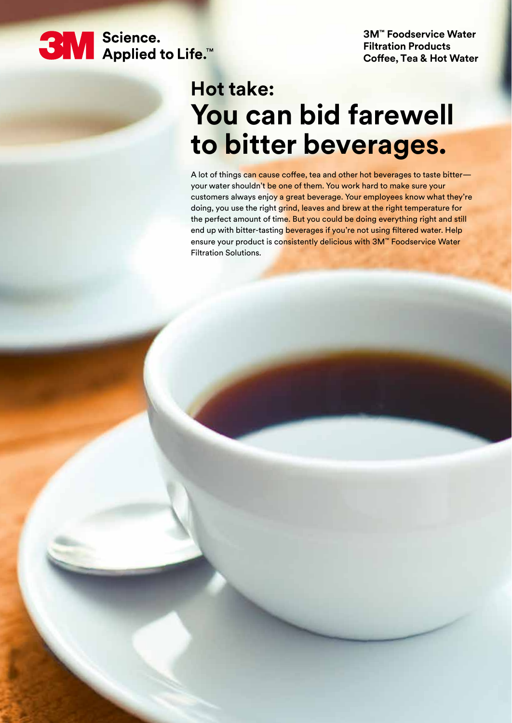**3M** Science.<br>■ Applied to Life.™

**3M™ Foodservice Water Filtration Products Coffee, Tea & Hot Water**

# **Hot take: You can bid farewell to bitter beverages.**

A lot of things can cause coffee, tea and other hot beverages to taste bitter your water shouldn't be one of them. You work hard to make sure your customers always enjoy a great beverage. Your employees know what they're doing, you use the right grind, leaves and brew at the right temperature for the perfect amount of time. But you could be doing everything right and still end up with bitter-tasting beverages if you're not using filtered water. Help ensure your product is consistently delicious with 3M™ Foodservice Water Filtration Solutions.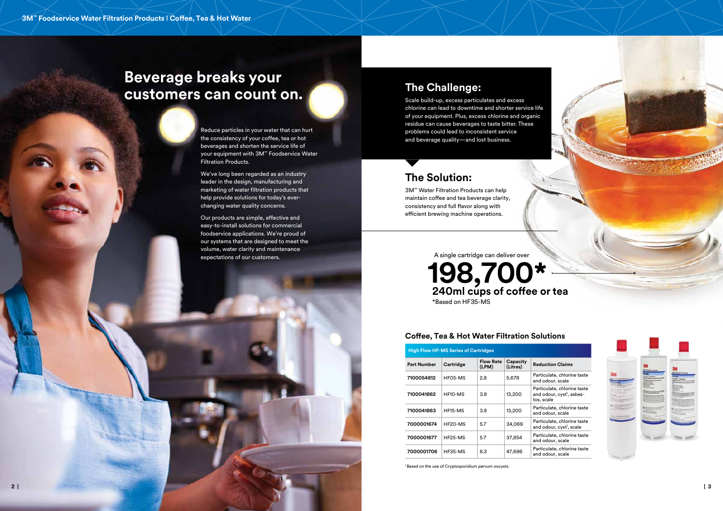

## **The Challenge:**

Scale build-up, excess particulates and excess chlorine can lead to downtime and shorter service life of your equipment. Plus, excess chlorine and organic residue can cause beverages to taste bitter. These problems could lead to inconsistent service and beverage quality—and lost business.

> **<sup>7100054812</sup>** HF05-MS 2.8 5,678 Particulate, chlorine taste dour, scale

ulate, chlorine taste and odour, cyst<sup>1</sup>, asbescale

> ulate, chlorine taste<sup>.</sup> dour, scale

ulate, chlorine taste and odour, cyst<sup>1</sup>, scale

> ulate, chlorine taste dour, scale

> ulate, chlorine taste dour, scale



## **The Solution:**

3M™ Water Filtration Products can help maintain coffee and tea beverage clarity, consistency and full flavor along with efficient brewing machine operations.

### **(Litres) Reduction Claims**

| <b>High Flow HF-MS Series of Cartridges</b> |           |                           |                      |                             |
|---------------------------------------------|-----------|---------------------------|----------------------|-----------------------------|
| <b>Part Number</b>                          | Cartridge | <b>Flow Rate</b><br>(LPM) | Capacity<br>(Litres) | Reduo                       |
| 7100054812                                  | HF05-MS   | 2.8                       | 5,678                | Partic<br>and or            |
| 7100041862                                  | HF10-MS   | 3.8                       | 13,200               | Partic<br>and or<br>tos, so |
| 7100041863                                  | HF15-MS   | 3.8                       | 13,200               | Partic<br>and or            |
| 7000001674                                  | HF20-MS   | 5.7                       | 34,069               | Partic<br>and or            |
| 7000001677                                  | HF25-MS   | 5.7                       | 37,854               | Partic<br>and o             |
| 7000001706                                  | HF35-MS   | 6.3                       | 47,696               | Partic<br>and o             |

### **Coffee, Tea & Hot Water Filtration Solutions**

## **198,700\* 240ml cups of coffee or tea** \*Based on HF35-MS A single cartridge can deliver over

## **Beverage breaks your customers can count on.**

Reduce particles in your water that can hurt the consistency of your coffee, tea or hot beverages and shorten the service life of your equipment with 3M™ Foodservice Water Filtration Products.

We've long been regarded as an industry leader in the design, manufacturing and marketing of water filtration products that help provide solutions for today's everchanging water quality concerns.

Our products are simple, effective and easy-to-install solutions for commercial foodservice applications. We're proud of our systems that are designed to meet the volume, water clarity and maintenance expectations of our customers.

1 Based on the use of Cryptosporidium parvum oocysts.